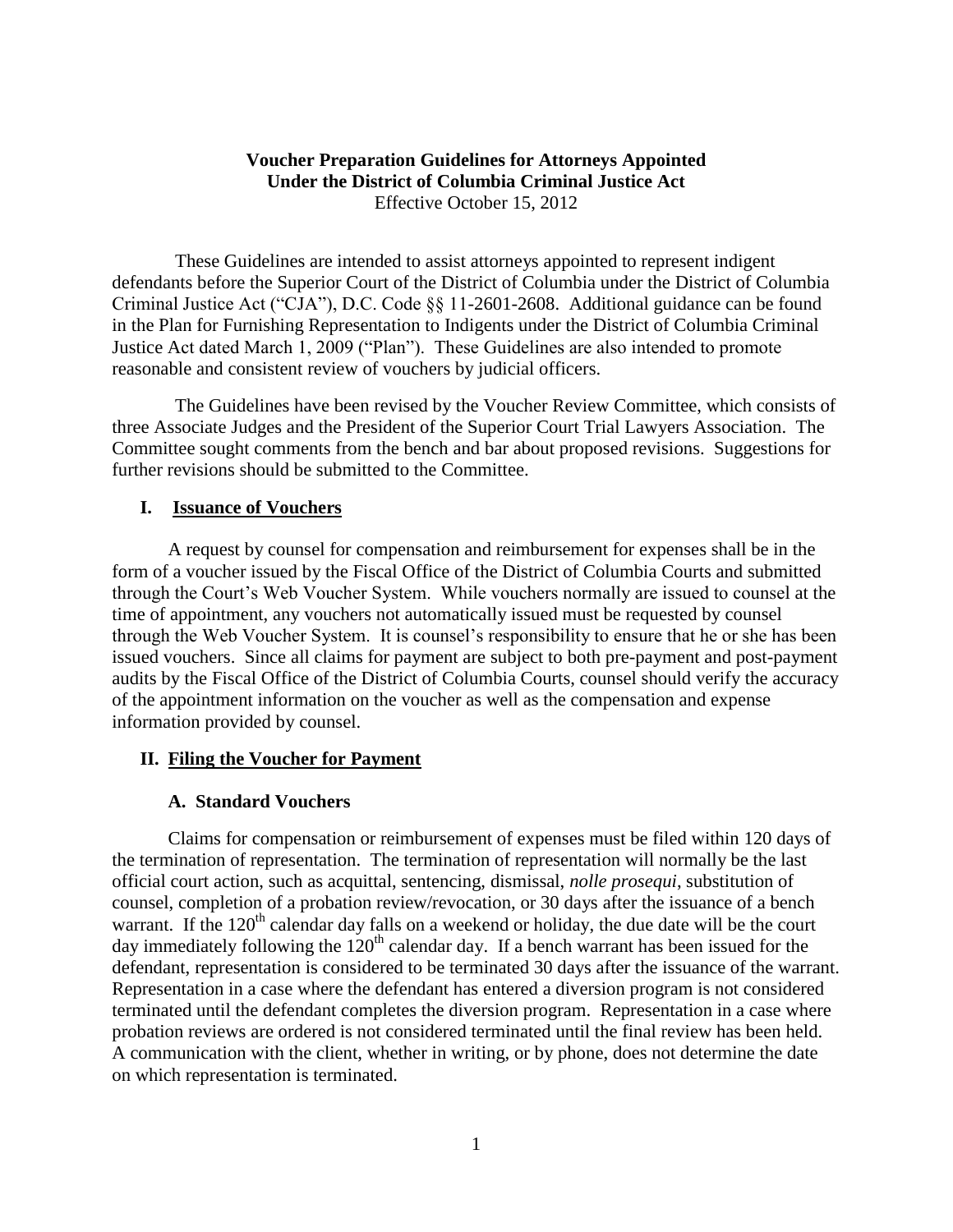# **Voucher Preparation Guidelines for Attorneys Appointed Under the District of Columbia Criminal Justice Act** Effective October 15, 2012

These Guidelines are intended to assist attorneys appointed to represent indigent defendants before the Superior Court of the District of Columbia under the District of Columbia Criminal Justice Act ("CJA"), D.C. Code §§ 11-2601-2608. Additional guidance can be found in the Plan for Furnishing Representation to Indigents under the District of Columbia Criminal Justice Act dated March 1, 2009 ("Plan"). These Guidelines are also intended to promote reasonable and consistent review of vouchers by judicial officers.

The Guidelines have been revised by the Voucher Review Committee, which consists of three Associate Judges and the President of the Superior Court Trial Lawyers Association. The Committee sought comments from the bench and bar about proposed revisions. Suggestions for further revisions should be submitted to the Committee.

### **I. Issuance of Vouchers**

A request by counsel for compensation and reimbursement for expenses shall be in the form of a voucher issued by the Fiscal Office of the District of Columbia Courts and submitted through the Court's Web Voucher System. While vouchers normally are issued to counsel at the time of appointment, any vouchers not automatically issued must be requested by counsel through the Web Voucher System. It is counsel's responsibility to ensure that he or she has been issued vouchers. Since all claims for payment are subject to both pre-payment and post-payment audits by the Fiscal Office of the District of Columbia Courts, counsel should verify the accuracy of the appointment information on the voucher as well as the compensation and expense information provided by counsel.

# **II. Filing the Voucher for Payment**

# **A. Standard Vouchers**

Claims for compensation or reimbursement of expenses must be filed within 120 days of the termination of representation. The termination of representation will normally be the last official court action, such as acquittal, sentencing, dismissal, *nolle prosequi*, substitution of counsel, completion of a probation review/revocation, or 30 days after the issuance of a bench warrant. If the 120<sup>th</sup> calendar day falls on a weekend or holiday, the due date will be the court day immediately following the  $120<sup>th</sup>$  calendar day. If a bench warrant has been issued for the defendant, representation is considered to be terminated 30 days after the issuance of the warrant. Representation in a case where the defendant has entered a diversion program is not considered terminated until the defendant completes the diversion program. Representation in a case where probation reviews are ordered is not considered terminated until the final review has been held. A communication with the client, whether in writing, or by phone, does not determine the date on which representation is terminated.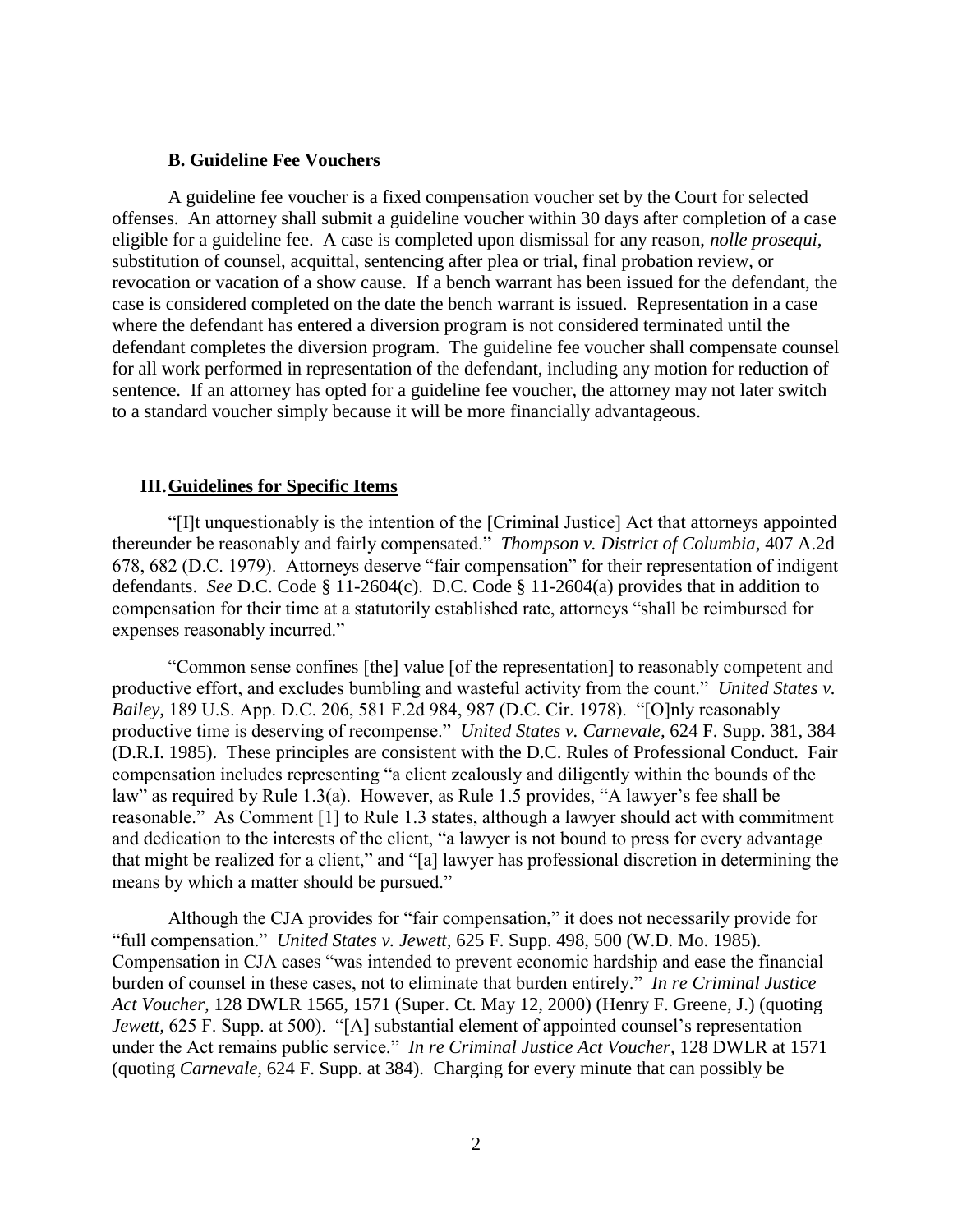#### **B. Guideline Fee Vouchers**

A guideline fee voucher is a fixed compensation voucher set by the Court for selected offenses. An attorney shall submit a guideline voucher within 30 days after completion of a case eligible for a guideline fee. A case is completed upon dismissal for any reason, *nolle prosequi*, substitution of counsel, acquittal, sentencing after plea or trial, final probation review, or revocation or vacation of a show cause. If a bench warrant has been issued for the defendant, the case is considered completed on the date the bench warrant is issued. Representation in a case where the defendant has entered a diversion program is not considered terminated until the defendant completes the diversion program. The guideline fee voucher shall compensate counsel for all work performed in representation of the defendant, including any motion for reduction of sentence. If an attorney has opted for a guideline fee voucher, the attorney may not later switch to a standard voucher simply because it will be more financially advantageous.

#### **III.Guidelines for Specific Items**

"[I]t unquestionably is the intention of the [Criminal Justice] Act that attorneys appointed thereunder be reasonably and fairly compensated." *Thompson v. District of Columbia,* 407 A.2d 678, 682 (D.C. 1979). Attorneys deserve "fair compensation" for their representation of indigent defendants. *See* D.C. Code § 11-2604(c). D.C. Code § 11-2604(a) provides that in addition to compensation for their time at a statutorily established rate, attorneys "shall be reimbursed for expenses reasonably incurred."

"Common sense confines [the] value [of the representation] to reasonably competent and productive effort, and excludes bumbling and wasteful activity from the count." *United States v. Bailey,* 189 U.S. App. D.C. 206, 581 F.2d 984, 987 (D.C. Cir. 1978). "[O]nly reasonably productive time is deserving of recompense." *United States v. Carnevale,* 624 F. Supp. 381, 384 (D.R.I. 1985). These principles are consistent with the D.C. Rules of Professional Conduct. Fair compensation includes representing "a client zealously and diligently within the bounds of the law" as required by Rule 1.3(a). However, as Rule 1.5 provides, "A lawyer's fee shall be reasonable." As Comment [1] to Rule 1.3 states, although a lawyer should act with commitment and dedication to the interests of the client, "a lawyer is not bound to press for every advantage that might be realized for a client," and "[a] lawyer has professional discretion in determining the means by which a matter should be pursued."

Although the CJA provides for "fair compensation," it does not necessarily provide for "full compensation." *United States v. Jewett,* 625 F. Supp. 498, 500 (W.D. Mo. 1985). Compensation in CJA cases "was intended to prevent economic hardship and ease the financial burden of counsel in these cases, not to eliminate that burden entirely." *In re Criminal Justice Act Voucher,* 128 DWLR 1565, 1571 (Super. Ct. May 12, 2000) (Henry F. Greene, J.) (quoting *Jewett, 625 F. Supp. at 500).* "[A] substantial element of appointed counsel's representation under the Act remains public service." *In re Criminal Justice Act Voucher,* 128 DWLR at 1571 (quoting *Carnevale,* 624 F. Supp. at 384). Charging for every minute that can possibly be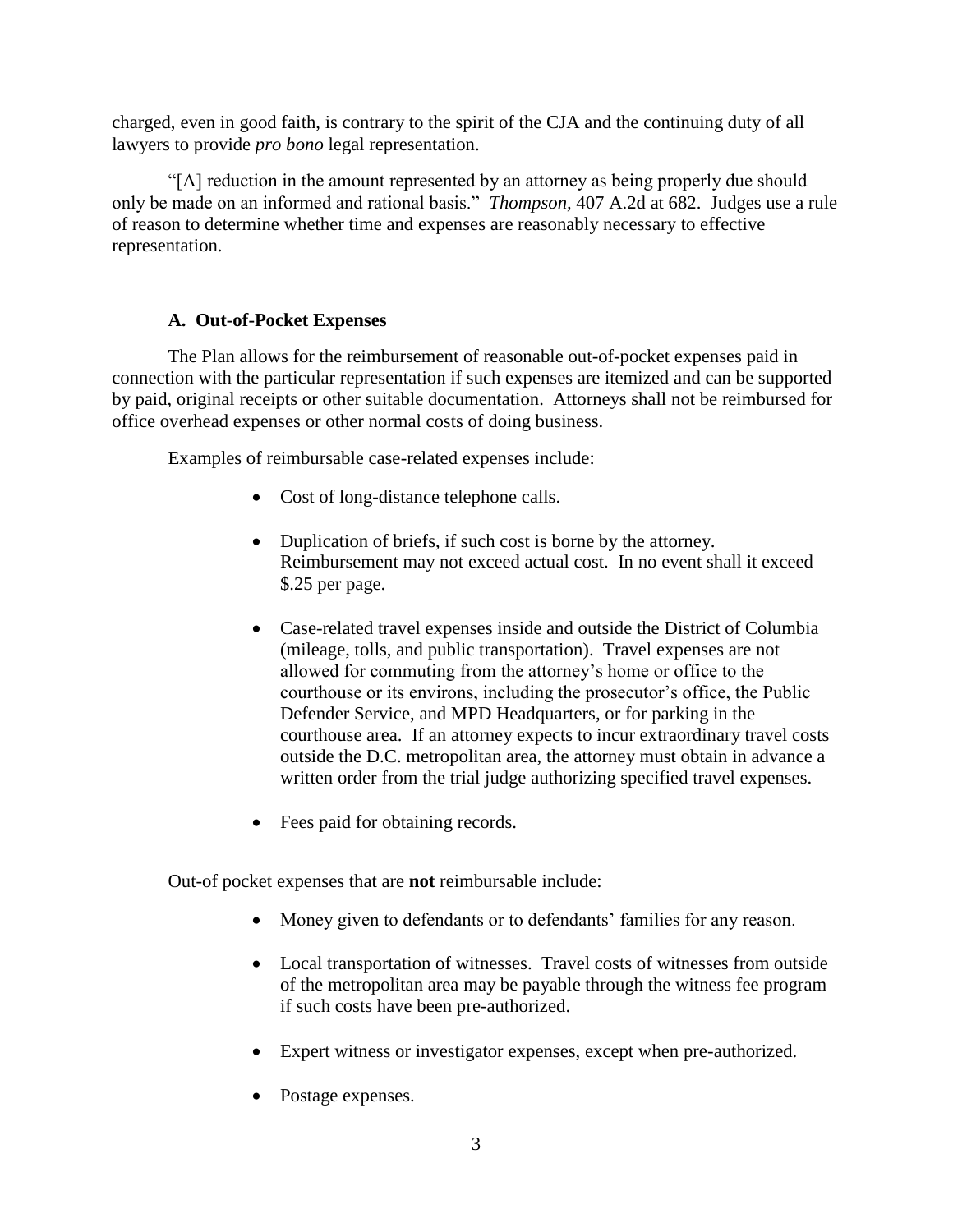charged, even in good faith, is contrary to the spirit of the CJA and the continuing duty of all lawyers to provide *pro bono* legal representation.

"[A] reduction in the amount represented by an attorney as being properly due should only be made on an informed and rational basis." *Thompson,* 407 A.2d at 682. Judges use a rule of reason to determine whether time and expenses are reasonably necessary to effective representation.

# **A. Out-of-Pocket Expenses**

The Plan allows for the reimbursement of reasonable out-of-pocket expenses paid in connection with the particular representation if such expenses are itemized and can be supported by paid, original receipts or other suitable documentation. Attorneys shall not be reimbursed for office overhead expenses or other normal costs of doing business.

Examples of reimbursable case-related expenses include:

- Cost of long-distance telephone calls.
- Duplication of briefs, if such cost is borne by the attorney. Reimbursement may not exceed actual cost. In no event shall it exceed \$.25 per page.
- Case-related travel expenses inside and outside the District of Columbia (mileage, tolls, and public transportation). Travel expenses are not allowed for commuting from the attorney's home or office to the courthouse or its environs, including the prosecutor's office, the Public Defender Service, and MPD Headquarters, or for parking in the courthouse area. If an attorney expects to incur extraordinary travel costs outside the D.C. metropolitan area, the attorney must obtain in advance a written order from the trial judge authorizing specified travel expenses.
- Fees paid for obtaining records.

Out-of pocket expenses that are **not** reimbursable include:

- Money given to defendants or to defendants' families for any reason.
- Local transportation of witnesses. Travel costs of witnesses from outside of the metropolitan area may be payable through the witness fee program if such costs have been pre-authorized.
- Expert witness or investigator expenses, except when pre-authorized.
- Postage expenses.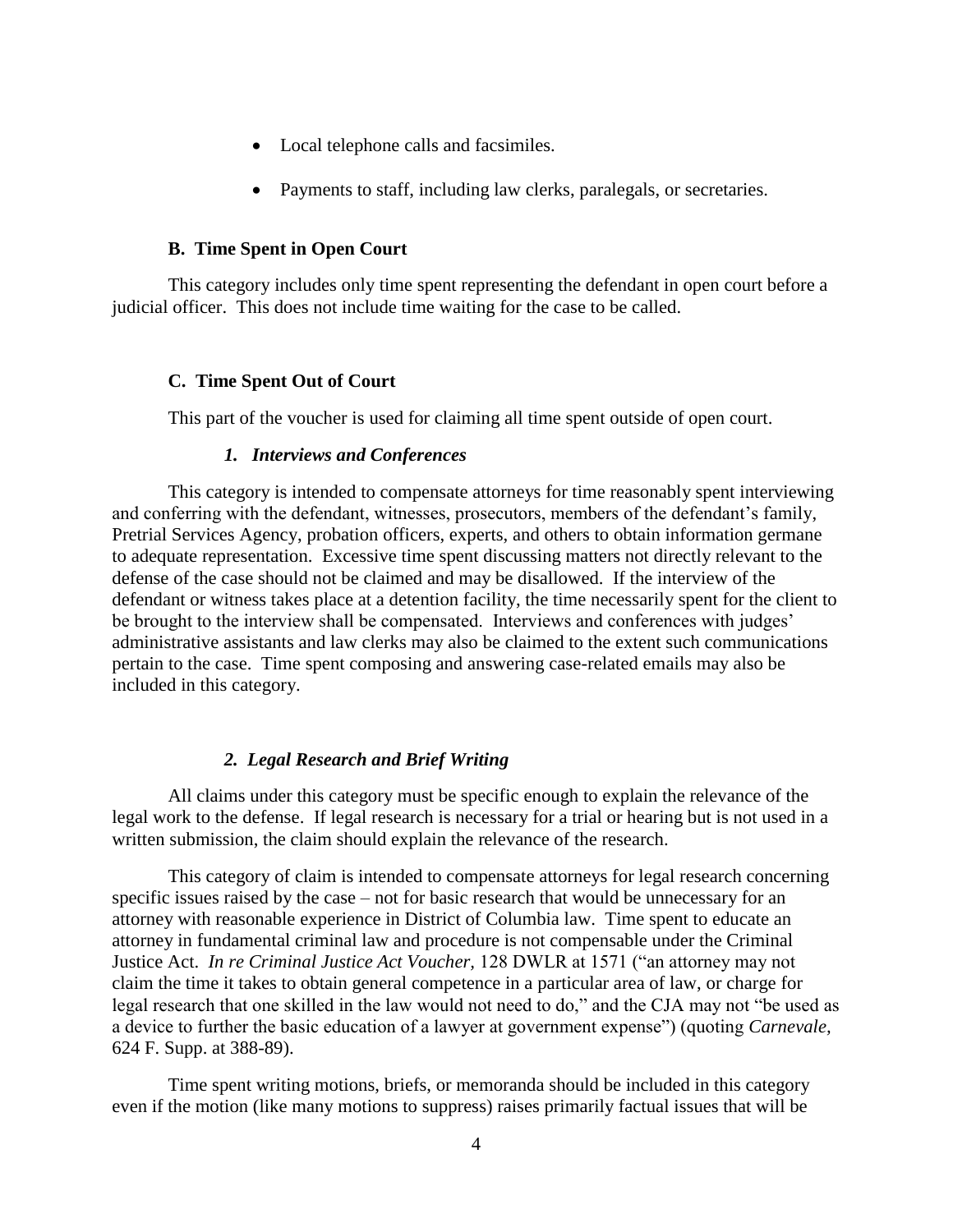- Local telephone calls and facsimiles.
- Payments to staff, including law clerks, paralegals, or secretaries.

### **B. Time Spent in Open Court**

This category includes only time spent representing the defendant in open court before a judicial officer. This does not include time waiting for the case to be called.

# **C. Time Spent Out of Court**

This part of the voucher is used for claiming all time spent outside of open court.

#### *1. Interviews and Conferences*

This category is intended to compensate attorneys for time reasonably spent interviewing and conferring with the defendant, witnesses, prosecutors, members of the defendant's family, Pretrial Services Agency, probation officers, experts, and others to obtain information germane to adequate representation. Excessive time spent discussing matters not directly relevant to the defense of the case should not be claimed and may be disallowed. If the interview of the defendant or witness takes place at a detention facility, the time necessarily spent for the client to be brought to the interview shall be compensated. Interviews and conferences with judges' administrative assistants and law clerks may also be claimed to the extent such communications pertain to the case. Time spent composing and answering case-related emails may also be included in this category.

# *2. Legal Research and Brief Writing*

All claims under this category must be specific enough to explain the relevance of the legal work to the defense. If legal research is necessary for a trial or hearing but is not used in a written submission, the claim should explain the relevance of the research.

This category of claim is intended to compensate attorneys for legal research concerning specific issues raised by the case – not for basic research that would be unnecessary for an attorney with reasonable experience in District of Columbia law. Time spent to educate an attorney in fundamental criminal law and procedure is not compensable under the Criminal Justice Act. *In re Criminal Justice Act Voucher,* 128 DWLR at 1571 ("an attorney may not claim the time it takes to obtain general competence in a particular area of law, or charge for legal research that one skilled in the law would not need to do," and the CJA may not "be used as a device to further the basic education of a lawyer at government expense") (quoting *Carnevale,*  624 F. Supp. at 388-89).

Time spent writing motions, briefs, or memoranda should be included in this category even if the motion (like many motions to suppress) raises primarily factual issues that will be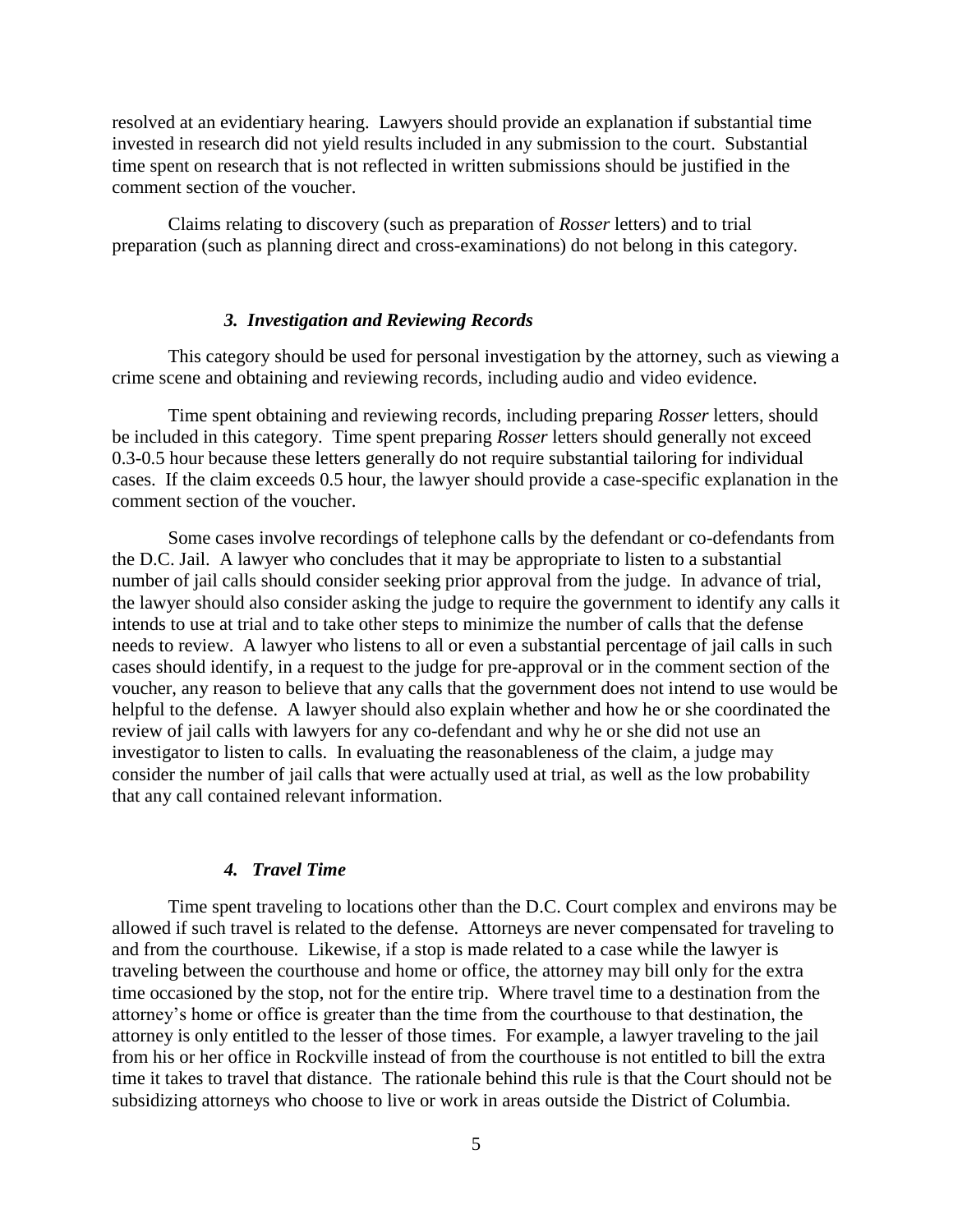resolved at an evidentiary hearing. Lawyers should provide an explanation if substantial time invested in research did not yield results included in any submission to the court. Substantial time spent on research that is not reflected in written submissions should be justified in the comment section of the voucher.

Claims relating to discovery (such as preparation of *Rosser* letters) and to trial preparation (such as planning direct and cross-examinations) do not belong in this category.

#### *3. Investigation and Reviewing Records*

This category should be used for personal investigation by the attorney, such as viewing a crime scene and obtaining and reviewing records, including audio and video evidence.

Time spent obtaining and reviewing records, including preparing *Rosser* letters, should be included in this category. Time spent preparing *Rosser* letters should generally not exceed 0.3-0.5 hour because these letters generally do not require substantial tailoring for individual cases. If the claim exceeds 0.5 hour, the lawyer should provide a case-specific explanation in the comment section of the voucher.

Some cases involve recordings of telephone calls by the defendant or co-defendants from the D.C. Jail. A lawyer who concludes that it may be appropriate to listen to a substantial number of jail calls should consider seeking prior approval from the judge. In advance of trial, the lawyer should also consider asking the judge to require the government to identify any calls it intends to use at trial and to take other steps to minimize the number of calls that the defense needs to review. A lawyer who listens to all or even a substantial percentage of jail calls in such cases should identify, in a request to the judge for pre-approval or in the comment section of the voucher, any reason to believe that any calls that the government does not intend to use would be helpful to the defense. A lawyer should also explain whether and how he or she coordinated the review of jail calls with lawyers for any co-defendant and why he or she did not use an investigator to listen to calls. In evaluating the reasonableness of the claim, a judge may consider the number of jail calls that were actually used at trial, as well as the low probability that any call contained relevant information.

#### *4. Travel Time*

Time spent traveling to locations other than the D.C. Court complex and environs may be allowed if such travel is related to the defense. Attorneys are never compensated for traveling to and from the courthouse. Likewise, if a stop is made related to a case while the lawyer is traveling between the courthouse and home or office, the attorney may bill only for the extra time occasioned by the stop, not for the entire trip. Where travel time to a destination from the attorney's home or office is greater than the time from the courthouse to that destination, the attorney is only entitled to the lesser of those times. For example, a lawyer traveling to the jail from his or her office in Rockville instead of from the courthouse is not entitled to bill the extra time it takes to travel that distance. The rationale behind this rule is that the Court should not be subsidizing attorneys who choose to live or work in areas outside the District of Columbia.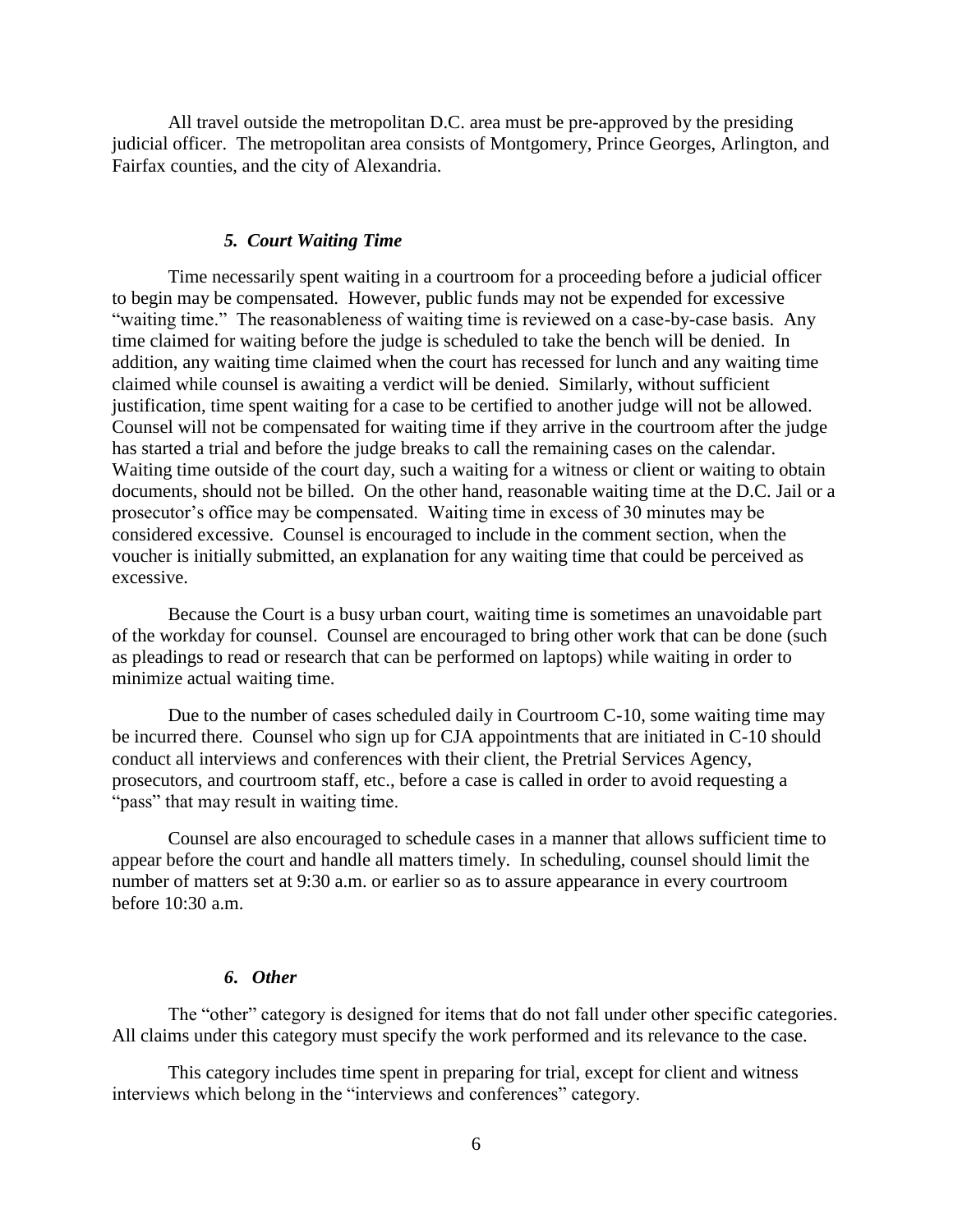All travel outside the metropolitan D.C. area must be pre-approved by the presiding judicial officer. The metropolitan area consists of Montgomery, Prince Georges, Arlington, and Fairfax counties, and the city of Alexandria.

### *5. Court Waiting Time*

Time necessarily spent waiting in a courtroom for a proceeding before a judicial officer to begin may be compensated. However, public funds may not be expended for excessive "waiting time." The reasonableness of waiting time is reviewed on a case-by-case basis. Any time claimed for waiting before the judge is scheduled to take the bench will be denied. In addition, any waiting time claimed when the court has recessed for lunch and any waiting time claimed while counsel is awaiting a verdict will be denied. Similarly, without sufficient justification, time spent waiting for a case to be certified to another judge will not be allowed. Counsel will not be compensated for waiting time if they arrive in the courtroom after the judge has started a trial and before the judge breaks to call the remaining cases on the calendar. Waiting time outside of the court day, such a waiting for a witness or client or waiting to obtain documents, should not be billed. On the other hand, reasonable waiting time at the D.C. Jail or a prosecutor's office may be compensated. Waiting time in excess of 30 minutes may be considered excessive. Counsel is encouraged to include in the comment section, when the voucher is initially submitted, an explanation for any waiting time that could be perceived as excessive.

Because the Court is a busy urban court, waiting time is sometimes an unavoidable part of the workday for counsel. Counsel are encouraged to bring other work that can be done (such as pleadings to read or research that can be performed on laptops) while waiting in order to minimize actual waiting time.

Due to the number of cases scheduled daily in Courtroom C-10, some waiting time may be incurred there. Counsel who sign up for CJA appointments that are initiated in C-10 should conduct all interviews and conferences with their client, the Pretrial Services Agency, prosecutors, and courtroom staff, etc., before a case is called in order to avoid requesting a "pass" that may result in waiting time.

Counsel are also encouraged to schedule cases in a manner that allows sufficient time to appear before the court and handle all matters timely. In scheduling, counsel should limit the number of matters set at 9:30 a.m. or earlier so as to assure appearance in every courtroom before  $10:30$  a.m.

### *6***.** *Other*

The "other" category is designed for items that do not fall under other specific categories. All claims under this category must specify the work performed and its relevance to the case.

This category includes time spent in preparing for trial, except for client and witness interviews which belong in the "interviews and conferences" category.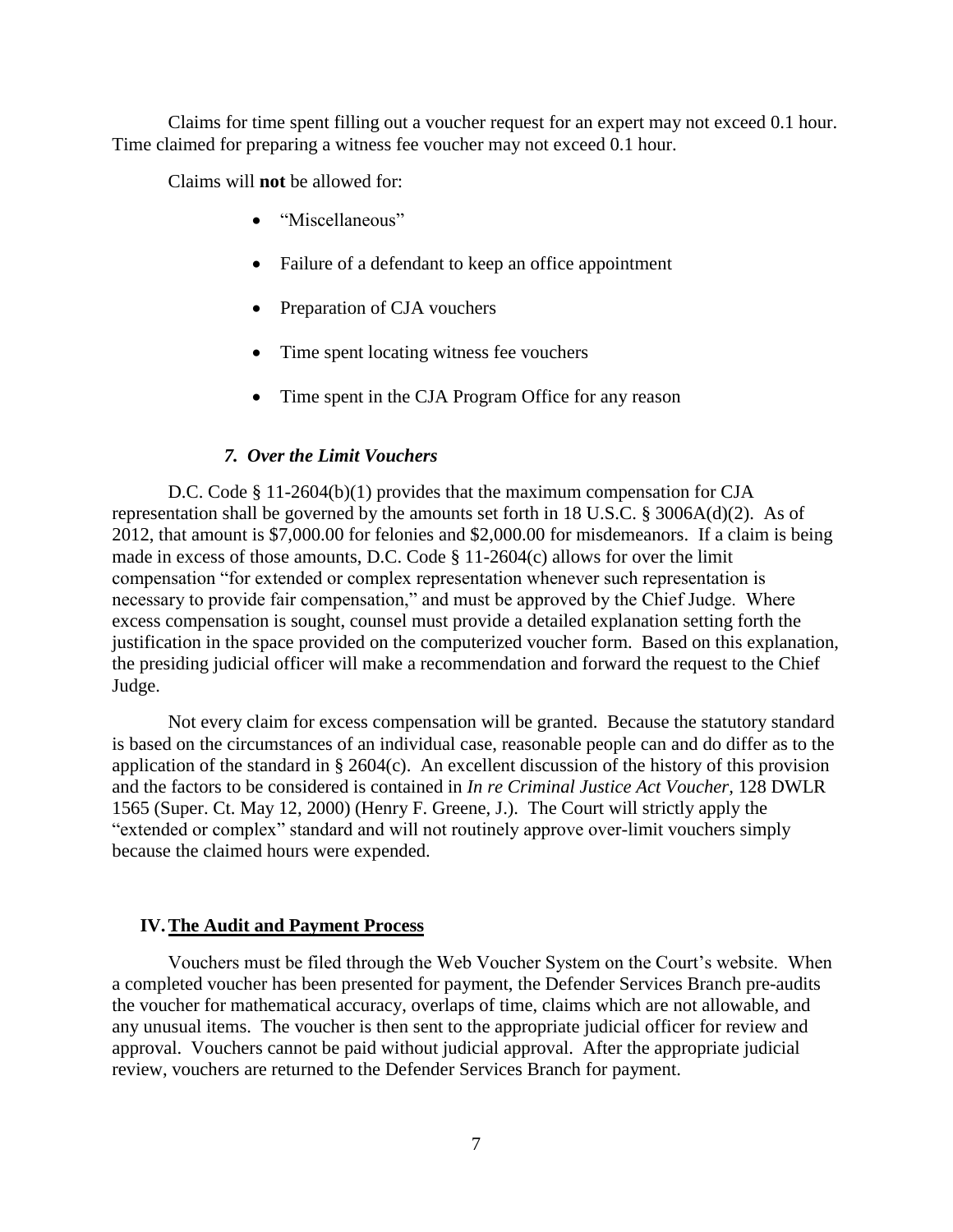Claims for time spent filling out a voucher request for an expert may not exceed 0.1 hour. Time claimed for preparing a witness fee voucher may not exceed 0.1 hour.

Claims will **not** be allowed for:

- "Miscellaneous"
- Failure of a defendant to keep an office appointment
- Preparation of CJA vouchers
- Time spent locating witness fee vouchers
- Time spent in the CJA Program Office for any reason

#### *7. Over the Limit Vouchers*

D.C. Code § 11-2604(b)(1) provides that the maximum compensation for CJA representation shall be governed by the amounts set forth in 18 U.S.C. § 3006A(d)(2). As of 2012, that amount is \$7,000.00 for felonies and \$2,000.00 for misdemeanors. If a claim is being made in excess of those amounts, D.C. Code § 11-2604(c) allows for over the limit compensation "for extended or complex representation whenever such representation is necessary to provide fair compensation," and must be approved by the Chief Judge. Where excess compensation is sought, counsel must provide a detailed explanation setting forth the justification in the space provided on the computerized voucher form. Based on this explanation, the presiding judicial officer will make a recommendation and forward the request to the Chief Judge.

Not every claim for excess compensation will be granted. Because the statutory standard is based on the circumstances of an individual case, reasonable people can and do differ as to the application of the standard in § 2604 $(c)$ . An excellent discussion of the history of this provision and the factors to be considered is contained in *In re Criminal Justice Act Voucher,* 128 DWLR 1565 (Super. Ct. May 12, 2000) (Henry F. Greene, J.). The Court will strictly apply the "extended or complex" standard and will not routinely approve over-limit vouchers simply because the claimed hours were expended.

### **IV.The Audit and Payment Process**

Vouchers must be filed through the Web Voucher System on the Court's website. When a completed voucher has been presented for payment, the Defender Services Branch pre-audits the voucher for mathematical accuracy, overlaps of time, claims which are not allowable, and any unusual items. The voucher is then sent to the appropriate judicial officer for review and approval. Vouchers cannot be paid without judicial approval. After the appropriate judicial review, vouchers are returned to the Defender Services Branch for payment.